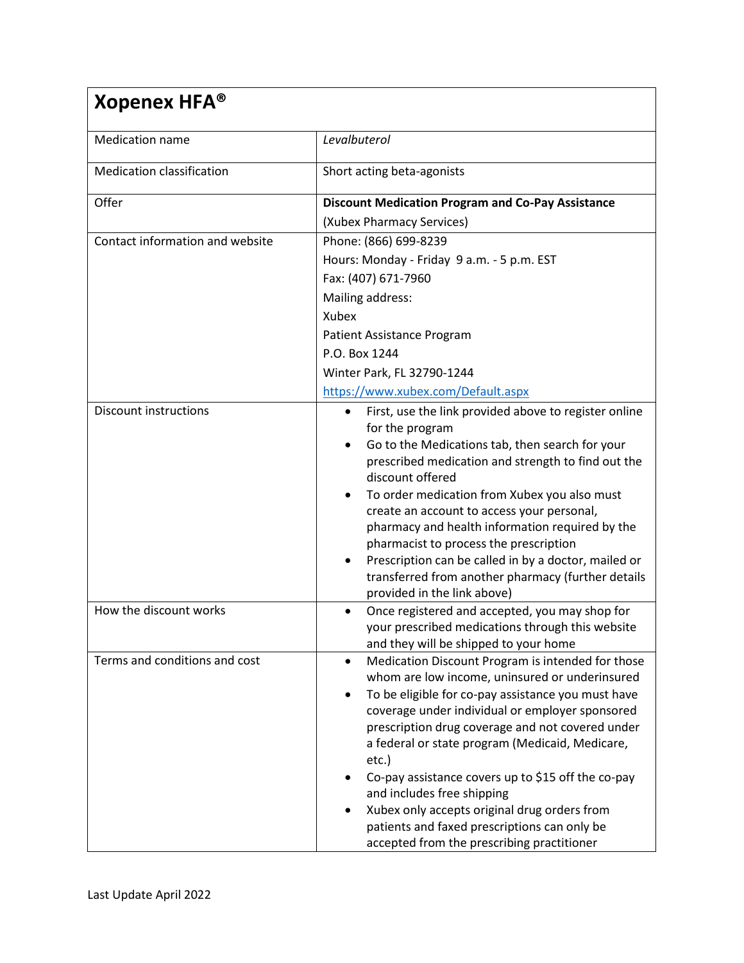| Xopenex HFA <sup>®</sup>         |                                                                                                                                                                                                                                                                                                                                                                                                                                                                                                                                                                                                  |  |
|----------------------------------|--------------------------------------------------------------------------------------------------------------------------------------------------------------------------------------------------------------------------------------------------------------------------------------------------------------------------------------------------------------------------------------------------------------------------------------------------------------------------------------------------------------------------------------------------------------------------------------------------|--|
| <b>Medication name</b>           | Levalbuterol                                                                                                                                                                                                                                                                                                                                                                                                                                                                                                                                                                                     |  |
| <b>Medication classification</b> | Short acting beta-agonists                                                                                                                                                                                                                                                                                                                                                                                                                                                                                                                                                                       |  |
| Offer                            | <b>Discount Medication Program and Co-Pay Assistance</b><br>(Xubex Pharmacy Services)                                                                                                                                                                                                                                                                                                                                                                                                                                                                                                            |  |
| Contact information and website  | Phone: (866) 699-8239<br>Hours: Monday - Friday 9 a.m. - 5 p.m. EST<br>Fax: (407) 671-7960<br>Mailing address:<br>Xubex<br>Patient Assistance Program<br>P.O. Box 1244<br>Winter Park, FL 32790-1244                                                                                                                                                                                                                                                                                                                                                                                             |  |
| <b>Discount instructions</b>     | https://www.xubex.com/Default.aspx<br>First, use the link provided above to register online<br>$\bullet$<br>for the program<br>Go to the Medications tab, then search for your<br>prescribed medication and strength to find out the<br>discount offered<br>To order medication from Xubex you also must<br>create an account to access your personal,<br>pharmacy and health information required by the<br>pharmacist to process the prescription<br>Prescription can be called in by a doctor, mailed or<br>transferred from another pharmacy (further details<br>provided in the link above) |  |
| How the discount works           | Once registered and accepted, you may shop for<br>٠<br>your prescribed medications through this website<br>and they will be shipped to your home                                                                                                                                                                                                                                                                                                                                                                                                                                                 |  |
| Terms and conditions and cost    | Medication Discount Program is intended for those<br>$\bullet$<br>whom are low income, uninsured or underinsured<br>To be eligible for co-pay assistance you must have<br>coverage under individual or employer sponsored<br>prescription drug coverage and not covered under<br>a federal or state program (Medicaid, Medicare,<br>etc.)<br>Co-pay assistance covers up to \$15 off the co-pay<br>and includes free shipping<br>Xubex only accepts original drug orders from<br>patients and faxed prescriptions can only be<br>accepted from the prescribing practitioner                      |  |